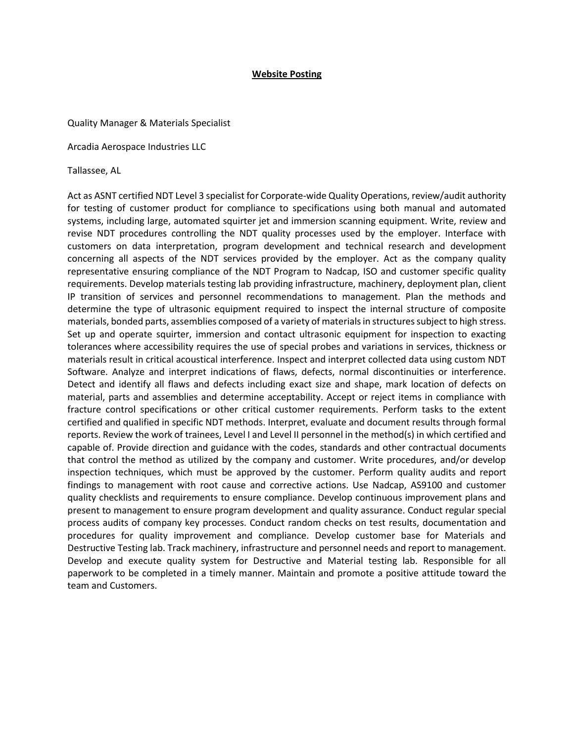## **Website Posting**

## Quality Manager & Materials Specialist

Arcadia Aerospace Industries LLC

Tallassee, AL

Act as ASNT certified NDT Level 3 specialist for Corporate-wide Quality Operations, review/audit authority for testing of customer product for compliance to specifications using both manual and automated systems, including large, automated squirter jet and immersion scanning equipment. Write, review and revise NDT procedures controlling the NDT quality processes used by the employer. Interface with customers on data interpretation, program development and technical research and development concerning all aspects of the NDT services provided by the employer. Act as the company quality representative ensuring compliance of the NDT Program to Nadcap, ISO and customer specific quality requirements. Develop materials testing lab providing infrastructure, machinery, deployment plan, client IP transition of services and personnel recommendations to management. Plan the methods and determine the type of ultrasonic equipment required to inspect the internal structure of composite materials, bonded parts, assemblies composed of a variety of materials in structures subject to high stress. Set up and operate squirter, immersion and contact ultrasonic equipment for inspection to exacting tolerances where accessibility requires the use of special probes and variations in services, thickness or materials result in critical acoustical interference. Inspect and interpret collected data using custom NDT Software. Analyze and interpret indications of flaws, defects, normal discontinuities or interference. Detect and identify all flaws and defects including exact size and shape, mark location of defects on material, parts and assemblies and determine acceptability. Accept or reject items in compliance with fracture control specifications or other critical customer requirements. Perform tasks to the extent certified and qualified in specific NDT methods. Interpret, evaluate and document results through formal reports. Review the work of trainees, Level I and Level II personnel in the method(s) in which certified and capable of. Provide direction and guidance with the codes, standards and other contractual documents that control the method as utilized by the company and customer. Write procedures, and/or develop inspection techniques, which must be approved by the customer. Perform quality audits and report findings to management with root cause and corrective actions. Use Nadcap, AS9100 and customer quality checklists and requirements to ensure compliance. Develop continuous improvement plans and present to management to ensure program development and quality assurance. Conduct regular special process audits of company key processes. Conduct random checks on test results, documentation and procedures for quality improvement and compliance. Develop customer base for Materials and Destructive Testing lab. Track machinery, infrastructure and personnel needs and report to management. Develop and execute quality system for Destructive and Material testing lab. Responsible for all paperwork to be completed in a timely manner. Maintain and promote a positive attitude toward the team and Customers.